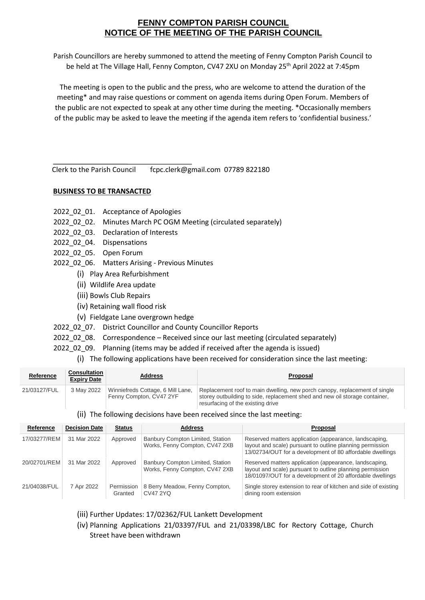## **FENNY COMPTON PARISH COUNCIL NOTICE OF THE MEETING OF THE PARISH COUNCIL**

Parish Councillors are hereby summoned to attend the meeting of Fenny Compton Parish Council to be held at The Village Hall, Fenny Compton, CV47 2XU on Monday 25<sup>th</sup> April 2022 at 7:45pm

The meeting is open to the public and the press, who are welcome to attend the duration of the meeting\* and may raise questions or comment on agenda items during Open Forum. Members of the public are not expected to speak at any other time during the meeting. \*Occasionally members of the public may be asked to leave the meeting if the agenda item refers to 'confidential business.'

Clerk to the Parish Council fcpc.clerk@gmail.com 07789 822180

## **BUSINESS TO BE TRANSACTED**

- 2022 02 01. Acceptance of Apologies
- 2022\_02\_02. Minutes March PC OGM Meeting (circulated separately)
- 2022\_02\_03. Declaration of Interests
- 2022\_02\_04. Dispensations
- 2022\_02\_05. Open Forum
- 2022 02 06. Matters Arising Previous Minutes
	- (i) Play Area Refurbishment
	- (ii) Wildlife Area update
	- (iii) Bowls Club Repairs
	- (iv) Retaining wall flood risk
	- (v) Fieldgate Lane overgrown hedge
- 2022 02 07. District Councillor and County Councillor Reports
- 2022\_02\_08. Correspondence Received since our last meeting (circulated separately)
- 2022 02 09. Planning (items may be added if received after the agenda is issued)
	- (i) The following applications have been received for consideration since the last meeting:

| Reference    | <b>Consultation</b><br><b>Expiry Date</b> | <b>Address</b>                                               | Proposal                                                                                                                                                                                       |
|--------------|-------------------------------------------|--------------------------------------------------------------|------------------------------------------------------------------------------------------------------------------------------------------------------------------------------------------------|
| 21/03127/FUL | 3 May 2022                                | Winniefreds Cottage, 6 Mill Lane,<br>Fenny Compton, CV47 2YF | Replacement roof to main dwelling, new porch canopy, replacement of single<br>storey outbuilding to side, replacement shed and new oil storage container,<br>resurfacing of the existing drive |

## (ii) The following decisions have been received since the last meeting:

| Reference    | <b>Decision Date</b> | <b>Status</b>         | <b>Address</b>                                                     | <b>Proposal</b>                                                                                                                                                                  |  |
|--------------|----------------------|-----------------------|--------------------------------------------------------------------|----------------------------------------------------------------------------------------------------------------------------------------------------------------------------------|--|
| 17/03277/REM | 31 Mar 2022          | Approved              | Banbury Compton Limited, Station<br>Works, Fenny Compton, CV47 2XB | Reserved matters application (appearance, landscaping,<br>layout and scale) pursuant to outline planning permission<br>13/02734/OUT for a development of 80 affordable dwellings |  |
| 20/02701/REM | 31 Mar 2022          | Approved              | Banbury Compton Limited, Station<br>Works, Fenny Compton, CV47 2XB | Reserved matters application (appearance, landscaping,<br>layout and scale) pursuant to outline planning permission<br>18/01097/OUT for a development of 20 affordable dwellings |  |
| 21/04038/FUL | 7 Apr 2022           | Permission<br>Granted | 8 Berry Meadow, Fenny Compton,<br>CV47 2YQ                         | Single storey extension to rear of kitchen and side of existing<br>dining room extension                                                                                         |  |

- (iii) Further Updates: 17/02362/FUL Lankett Development
- (iv) Planning Applications 21/03397/FUL and 21/03398/LBC for Rectory Cottage, Church Street have been withdrawn